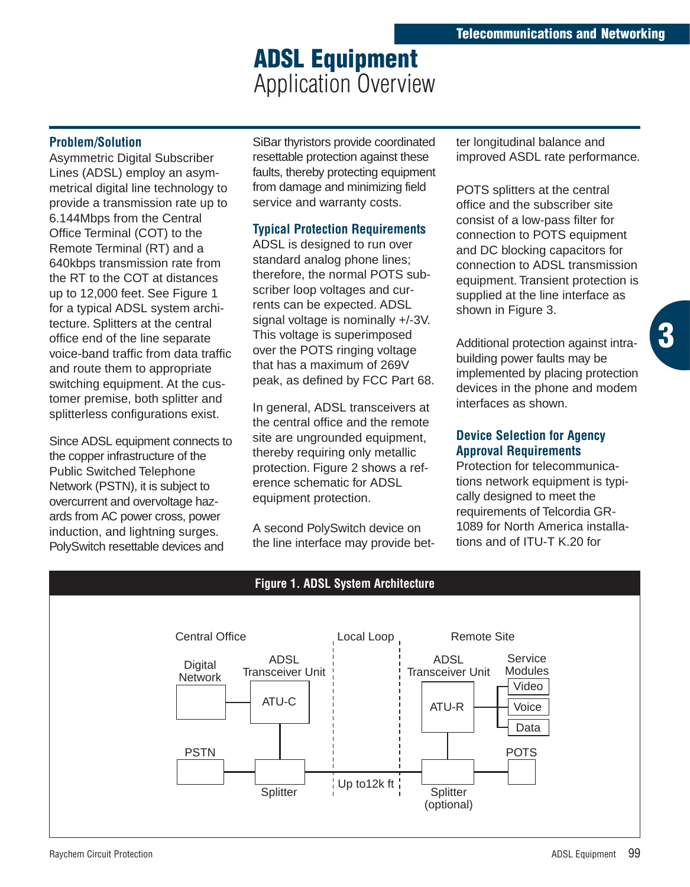## **ADSL Equipment**  Application Overview

#### **Problem/Solution**

Asymmetric Digital Subscriber Lines (ADSL) employ an asymmetrical digital line technology to provide a transmission rate up to 6.144Mbps from the Central Office Terminal (COT) to the Remote Terminal (RT) and a 640kbps transmission rate from the RT to the COT at distances up to 12,000 feet. See Figure 1 for a typical ADSL system architecture. Splitters at the central office end of the line separate voice-band traffic from data traffic and route them to appropriate switching equipment. At the customer premise, both splitter and splitterless configurations exist.

Since ADSL equipment connects to the copper infrastructure of the Public Switched Telephone Network (PSTN), it is subject to overcurrent and overvoltage hazards from AC power cross, power induction, and lightning surges. PolySwitch resettable devices and

SiBar thyristors provide coordinated resettable protection against these faults, thereby protecting equipment from damage and minimizing field service and warranty costs.

### **Typical Protection Requirements**

ADSL is designed to run over standard analog phone lines; therefore, the normal POTS subscriber loop voltages and currents can be expected. ADSL signal voltage is nominally +/-3V. This voltage is superimposed over the POTS ringing voltage that has a maximum of 269V peak, as defined by FCC Part 68.

In general, ADSL transceivers at the central office and the remote site are ungrounded equipment, thereby requiring only metallic protection. Figure 2 shows a reference schematic for ADSL equipment protection.

A second PolySwitch device on the line interface may provide better longitudinal balance and improved ASDL rate performance.

POTS splitters at the central office and the subscriber site consist of a low-pass filter for connection to POTS equipment and DC blocking capacitors for connection to ADSL transmission equipment. Transient protection is supplied at the line interface as shown in Figure 3.

Additional protection against intrabuilding power faults may be implemented by placing protection devices in the phone and modem interfaces as shown.

**3**

#### **Device Selection for Agency Approval Requirements**

Protection for telecommunications network equipment is typically designed to meet the requirements of Telcordia GR-1089 for North America installations and of ITU-T K.20 for